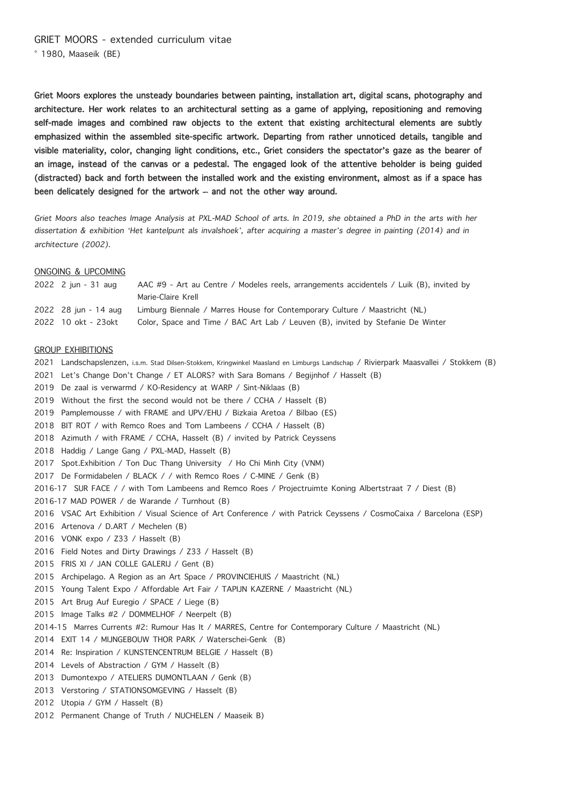Griet Moors explores the unsteady boundaries between painting, installation art, digital scans, photography and architecture. Her work relates to an architectural setting as a game of applying, repositioning and removing self-made images and combined raw objects to the extent that existing architectural elements are subtly emphasized within the assembled site-specific artwork. Departing from rather unnoticed details, tangible and visible materiality, color, changing light conditions, etc., Griet considers the spectator's gaze as the bearer of an image, instead of the canvas or a pedestal. The engaged look of the attentive beholder is being guided (distracted) back and forth between the installed work and the existing environment, almost as if a space has been delicately designed for the artwork – and not the other way around.

Griet Moors also teaches Image Analysis at PXL-MAD School of arts. In 2019, she obtained a PhD in the arts with her dissertation & exhibition 'Het kantelpunt als invalshoek', after acquiring a master's degree in painting (2014) and in architecture (2002).

#### ONGOING & UPCOMING

| 2022 2 jun - 31 aug  | AAC #9 - Art au Centre / Modeles reels, arrangements accidentels / Luik (B), invited by |
|----------------------|-----------------------------------------------------------------------------------------|
|                      | Marie-Claire Krell                                                                      |
| 2022 28 iun - 14 aug | Limburg Biennale / Marres House for Contemporary Culture / Maastricht (NL)              |
| 2022 10 okt - 23 okt | Color, Space and Time / BAC Art Lab / Leuven (B), invited by Stefanie De Winter         |

#### GROUP EXHIBITIONS

- 2021 Landschapslenzen, i.s.m. Stad Dilsen-Stokkem, Kringwinkel Maasland en Limburgs Landschap / Rivierpark Maasvallei / Stokkem (B)
- 2021 Let's Change Don't Change / ET ALORS? with Sara Bomans / Begijnhof / Hasselt (B)
- 2019 De zaal is verwarmd / KO-Residency at WARP / Sint-Niklaas (B)
- 2019 Without the first the second would not be there / CCHA / Hasselt (B)
- 2019 Pamplemousse / with FRAME and UPV/EHU / Bizkaia Aretoa / Bilbao (ES)
- 2018 BIT ROT / with Remco Roes and Tom Lambeens / CCHA / Hasselt (B)
- 2018 Azimuth / with FRAME / CCHA, Hasselt (B) / invited by Patrick Ceyssens
- 2018 Haddig / Lange Gang / PXL-MAD, Hasselt (B)
- 2017 Spot.Exhibition / Ton Duc Thang University / Ho Chi Minh City (VNM)
- 2017 De Formidabelen / BLACK / / with Remco Roes / C-MINE / Genk (B)
- 2016-17 SUR FACE / / with Tom Lambeens and Remco Roes / Projectruimte Koning Albertstraat 7 / Diest (B)
- 2016-17 MAD POWER / de Warande / Turnhout (B)
- 2016 VSAC Art Exhibition / Visual Science of Art Conference / with Patrick Ceyssens / CosmoCaixa / Barcelona (ESP)
- 2016 Artenova / D.ART / Mechelen (B)
- 2016 VONK expo / Z33 / Hasselt (B)
- 2016 Field Notes and Dirty Drawings / Z33 / Hasselt (B)
- 2015 FRIS XI / JAN COLLE GALERIJ / Gent (B)
- 2015 Archipelago. A Region as an Art Space / PROVINCIEHUIS / Maastricht (NL)
- 2015 Young Talent Expo / Affordable Art Fair / TAPIJN KAZERNE / Maastricht (NL)
- 2015 Art Brug Auf Euregio / SPACE / Liege (B)
- 2015 Image Talks #2 / DOMMELHOF / Neerpelt (B)
- 2014-15 Marres Currents #2: Rumour Has It / MARRES, Centre for Contemporary Culture / Maastricht (NL)
- 2014 EXIT 14 / MIJNGEBOUW THOR PARK / Waterschei-Genk (B)
- 2014 Re: Inspiration / KUNSTENCENTRUM BELGIE / Hasselt (B)
- 2014 Levels of Abstraction / GYM / Hasselt (B)
- 2013 Dumontexpo / ATELIERS DUMONTLAAN / Genk (B)
- 2013 Verstoring / STATIONSOMGEVING / Hasselt (B)
- 2012 Utopia / GYM / Hasselt (B)
- 2012 Permanent Change of Truth / NUCHELEN / Maaseik B)